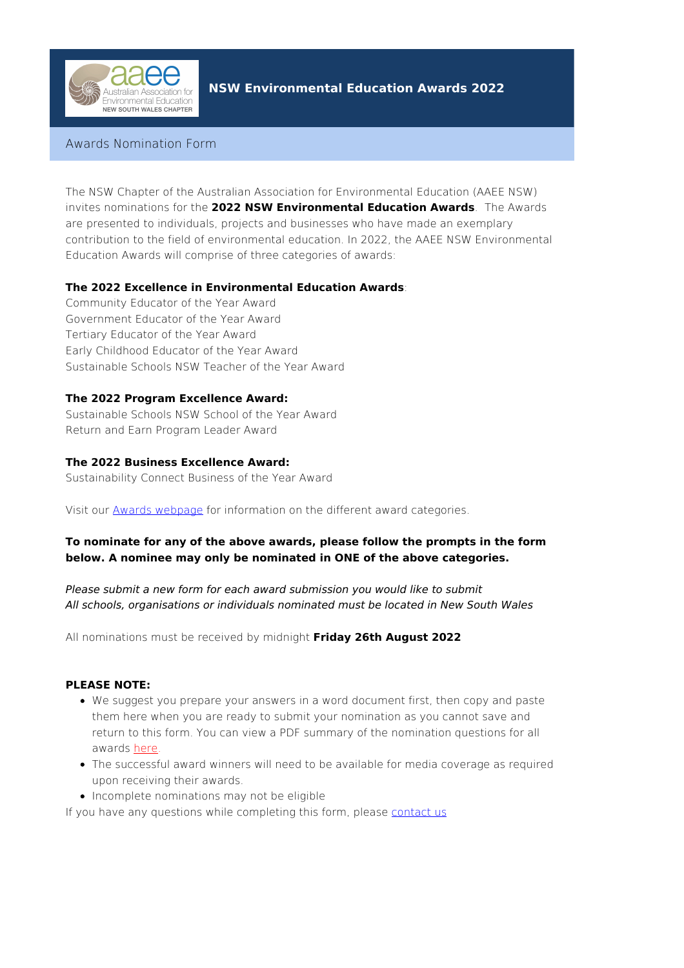

# **NSW Environmental Education Awards 2022**

# Awards Nomination Form

The NSW Chapter of the Australian Association for Environmental Education (AAEE NSW) invites nominations for the **2022 NSW Environmental Education Awards**. The Awards are presented to individuals, projects and businesses who have made an exemplary contribution to the field of environmental education. In 2022, the AAEE NSW Environmental Education Awards will comprise of three categories of awards:

## **The 2022 Excellence in Environmental Education Awards**:

Community Educator of the Year Award Government Educator of the Year Award Tertiary Educator of the Year Award Early Childhood Educator of the Year Award Sustainable Schools NSW Teacher of the Year Award

## **The 2022 Program Excellence Award:**

Sustainable Schools NSW School of the Year Award Return and Earn Program Leader Award

## **The 2022 Business Excellence Award:**

Sustainability Connect Business of the Year Award

Visit our Awards [webpage](https://www.aaeensw.org.au/our-work/nsw-environmental-education-awards) for information on the different award categories.

## **To nominate for any of the above awards, please follow the prompts in the form below. A nominee may only be nominated in ONE of the above categories.**

Please submit a new form for each award submission you would like to submit All schools, organisations or individuals nominated must be located in New South Wales

All nominations must be received by midnight **Friday 26th August 2022**

### **PLEASE NOTE:**

- We suggest you prepare your answers in a word document first, then copy and paste them here when you are ready to submit your nomination as you cannot save and return to this form. You can view a PDF summary of the nomination questions for all awards [here](https://www.aaeensw.org.au/sites/aaeensw/files/pages/files/2021eeawardquestionsforreference.pdf).
- The successful award winners will need to be available for media coverage as required upon receiving their awards.
- Incomplete nominations may not be eligible

If you have any questions while completing this form, please [contact](https://www.aaeensw.org.au/contact) us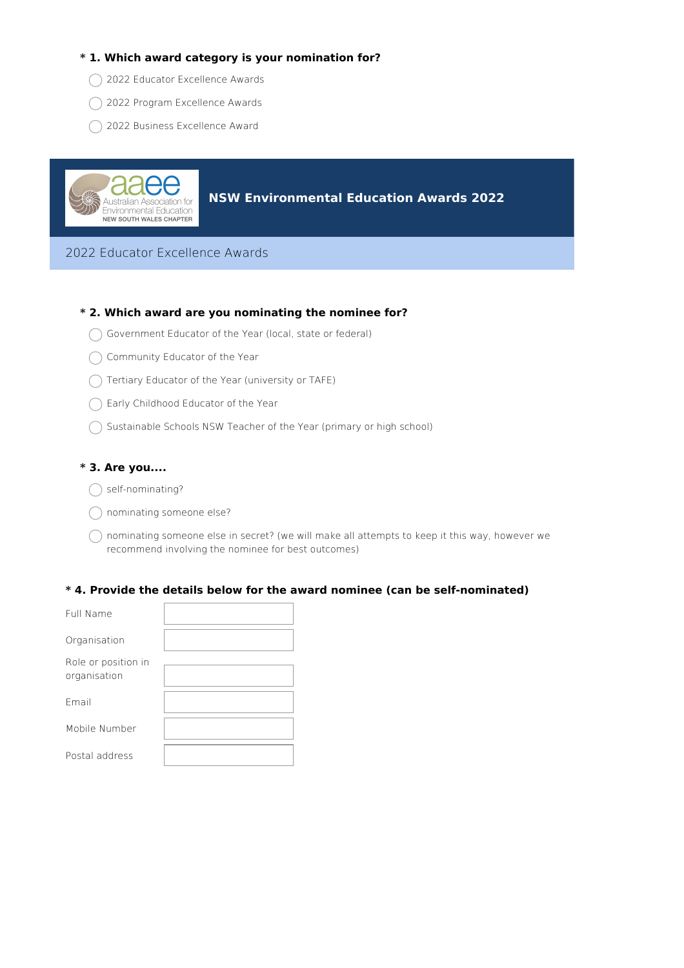### **\* 1. Which award category is your nomination for?**

- ◯ 2022 Educator Excellence Awards
- 2022 Program Excellence Awards
- ◯ 2022 Business Excellence Award



**NSW Environmental Education Awards 2022**

2022 Educator Excellence Awards

#### **\* 2. Which award are you nominating the nominee for?**

- $\bigcap$  Government Educator of the Year (local, state or federal)
- Community Educator of the Year
- $\bigcap$  Tertiary Educator of the Year (university or TAFE)
- ◯ Early Childhood Educator of the Year
- $\bigcap$  Sustainable Schools NSW Teacher of the Year (primary or high school)

#### **\* 3. Are you....**

- $\bigcap$  self-nominating?
- $\bigcap$  nominating someone else?
- $\bigcap$  nominating someone else in secret? (we will make all attempts to keep it this way, however we recommend involving the nominee for best outcomes)

#### **\* 4. Provide the details below for the award nominee (can be self-nominated)**

| Full Name                           |  |
|-------------------------------------|--|
| Organisation                        |  |
| Role or position in<br>organisation |  |
| Fmail                               |  |
| Mobile Number                       |  |
| Postal address                      |  |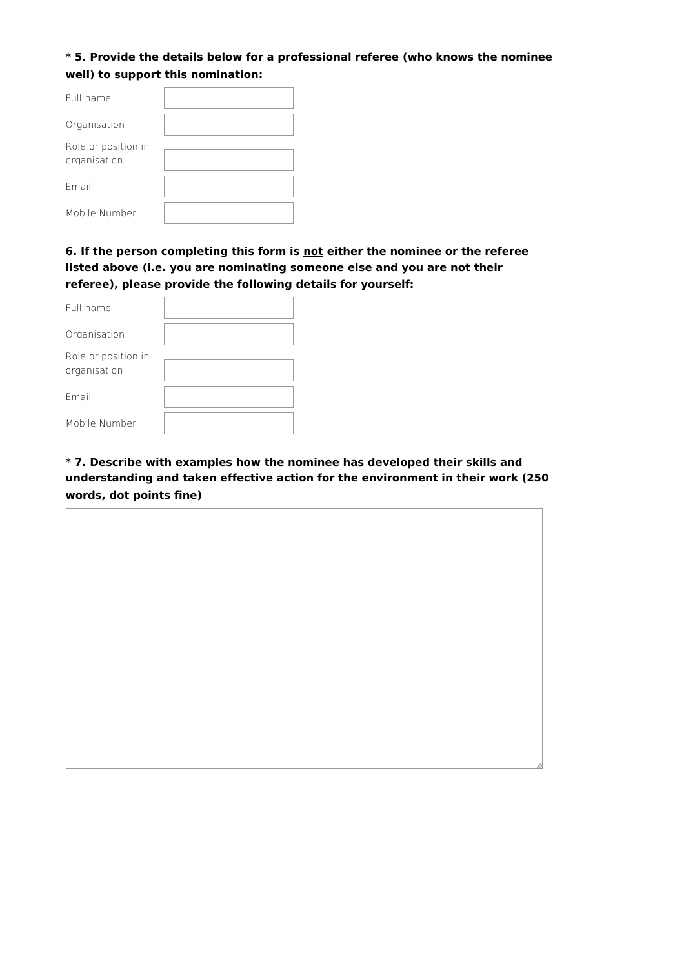# **\* 5. Provide the details below for a professional referee (who knows the nominee well) to support this nomination:**

| Full name                           |  |
|-------------------------------------|--|
| Organisation                        |  |
| Role or position in<br>organisation |  |
| Fmail                               |  |
| Mobile Number                       |  |

# **6. If the person completing this form is not either the nominee or the referee listed above (i.e. you are nominating someone else and you are not their referee), please provide the following details for yourself:**

| Full name                           |  |
|-------------------------------------|--|
| Organisation                        |  |
| Role or position in<br>organisation |  |
| Fmail                               |  |
| Mobile Number                       |  |

# **\* 7. Describe with examples how the nominee has developed their skills and understanding and taken effective action for the environment in their work (250 words, dot points fine)**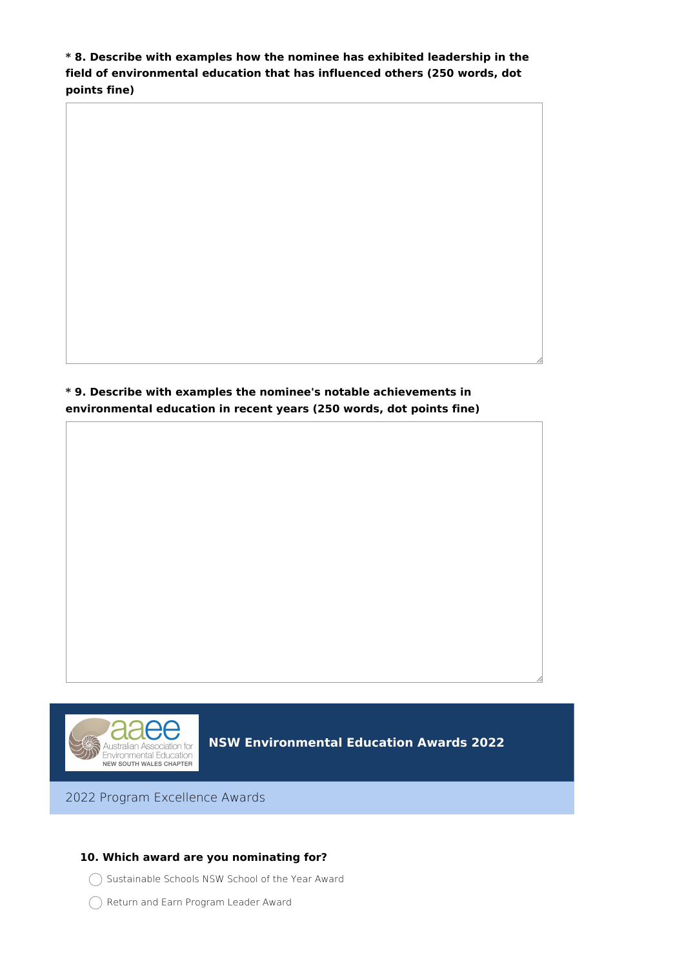**\* 8. Describe with examples how the nominee has exhibited leadership in the field of environmental education that has influenced others (250 words, dot points fine)**

**\* 9. Describe with examples the nominee's notable achievements in environmental education in recent years (250 words, dot points fine)**



**NSW Environmental Education Awards 2022**

2022 Program Excellence Awards

### **10. Which award are you nominating for?**

- Sustainable Schools NSW School of the Year Award
- Return and Earn Program Leader Award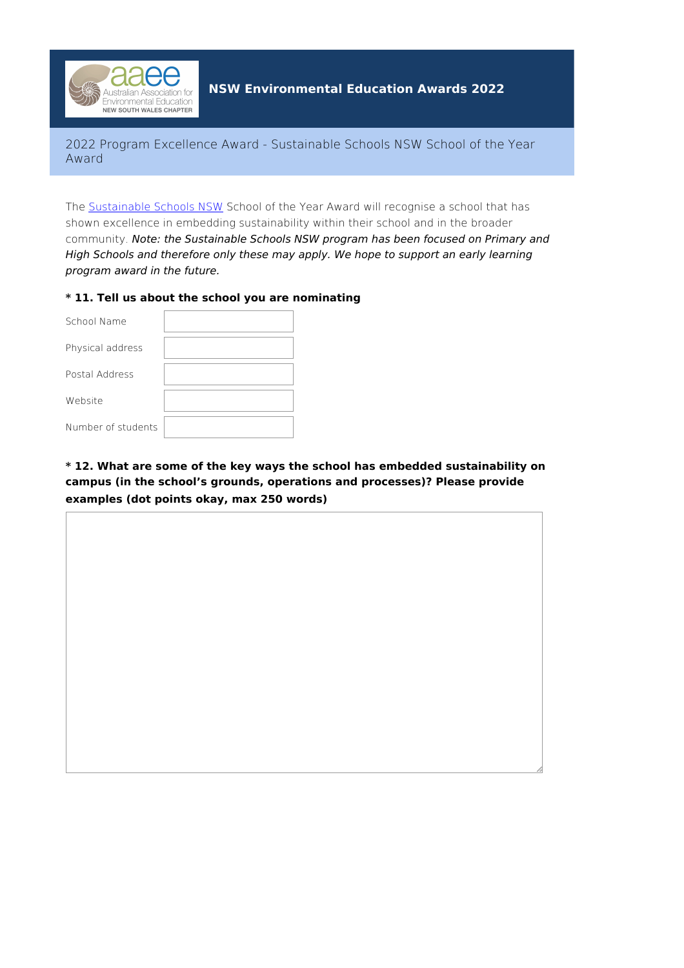

2022 Program Excellence Award - Sustainable Schools NSW School of the Year Award

The [Sustainable](https://www.sustainableschoolsnsw.org.au/) Schools NSW School of the Year Award will recognise a school that has shown excellence in embedding sustainability within their school and in the broader community. Note: the Sustainable Schools NSW program has been focused on Primary and High Schools and therefore only these may apply. We hope to support an early learning program award in the future.

### **\* 11. Tell us about the school you are nominating**

| School Name        |  |
|--------------------|--|
| Physical address   |  |
| Postal Address     |  |
| Website            |  |
| Number of students |  |

# **\* 12. What are some of the key ways the school has embedded sustainability on campus (in the school's grounds, operations and processes)? Please provide examples (dot points okay, max 250 words)**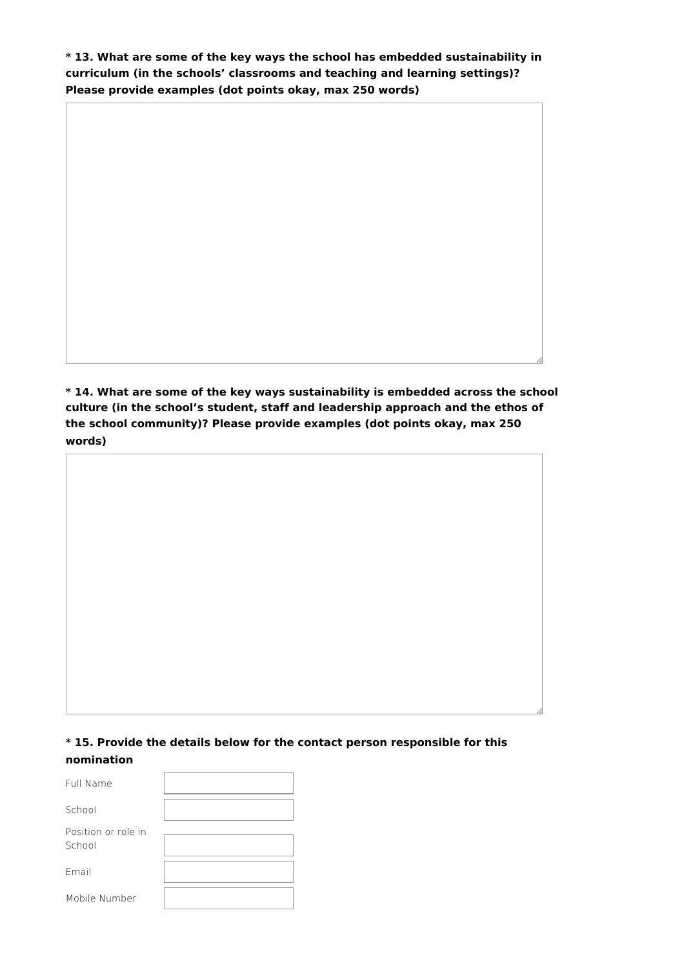**\* 13. What are some of the key ways the school has embedded sustainability in curriculum (in the schools' classrooms and teaching and learning settings)? Please provide examples (dot points okay, max 250 words)**

**\* 14. What are some of the key ways sustainability is embedded across the school culture (in the school's student, staff and leadership approach and the ethos of the school community)? Please provide examples (dot points okay, max 250 words)**

# **\* 15. Provide the details below for the contact person responsible for this nomination**

| Full Name                     |  |
|-------------------------------|--|
| School                        |  |
| Position or role in<br>School |  |
| Fmail                         |  |
| Mobile Number                 |  |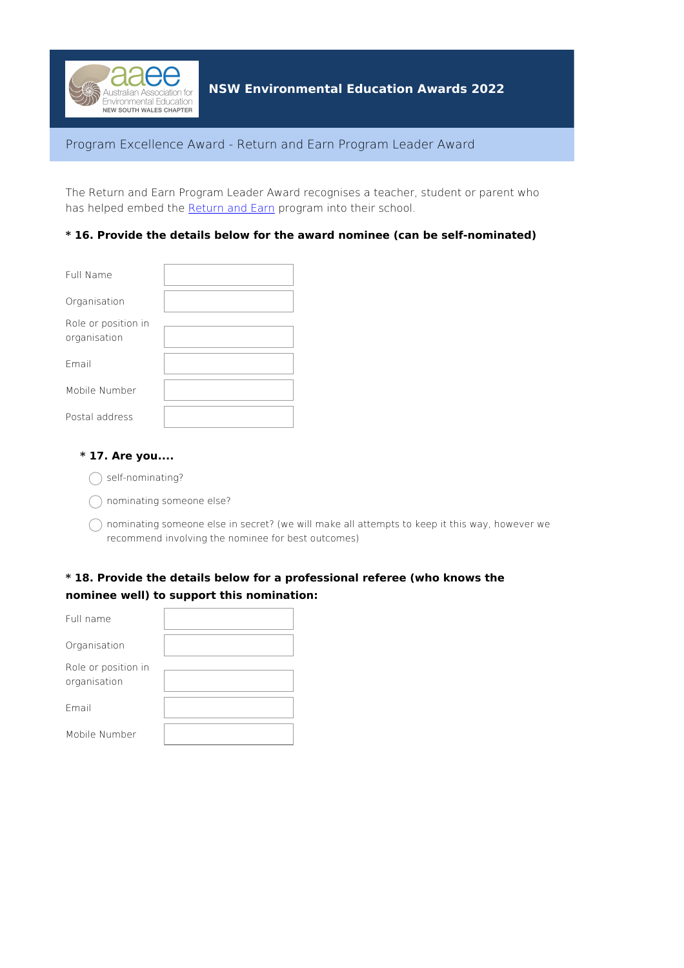

### Program Excellence Award - Return and Earn Program Leader Award

The Return and Earn Program Leader Award recognises a teacher, student or parent who has helped embed the [Return](https://returnandearn.org.au/) and Earn program into their school.

### **\* 16. Provide the details below for the award nominee (can be self-nominated)**

| Full Name                           |  |
|-------------------------------------|--|
| Organisation                        |  |
| Role or position in<br>organisation |  |
| Fmail                               |  |
| Mobile Number                       |  |
| Postal address                      |  |

#### **\* 17. Are you....**

- $\bigcap$  self-nominating?
- nominating someone else?
- $\bigcap$  nominating someone else in secret? (we will make all attempts to keep it this way, however we recommend involving the nominee for best outcomes)

# **\* 18. Provide the details below for a professional referee (who knows the nominee well) to support this nomination:**

| Full name                           |  |
|-------------------------------------|--|
| Organisation                        |  |
| Role or position in<br>organisation |  |
| Fmail                               |  |
| Mobile Number                       |  |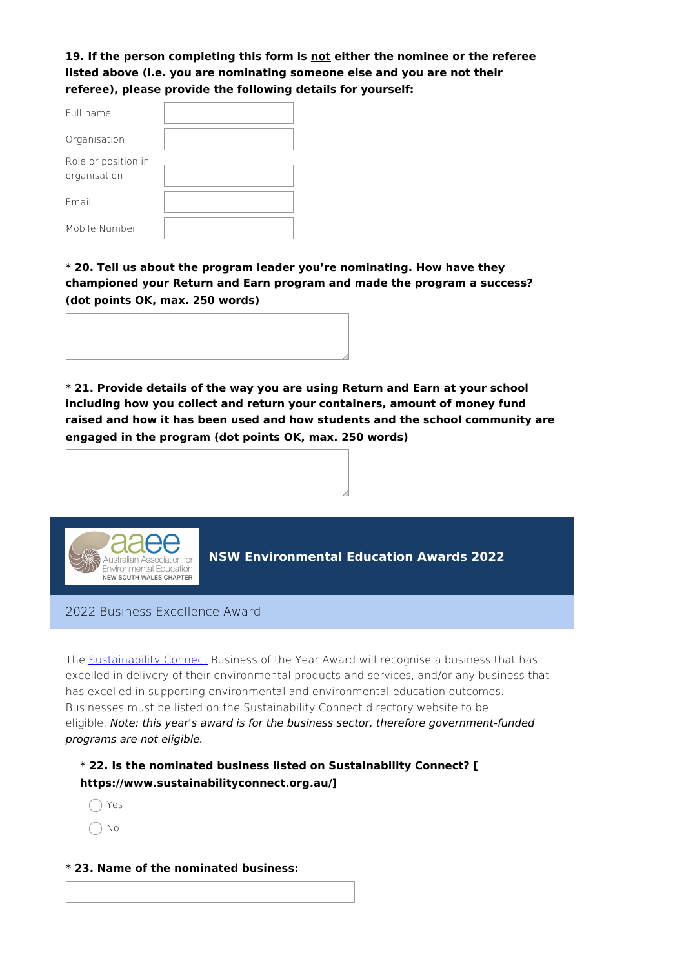**19. If the person completing this form is not either the nominee or the referee listed above (i.e. you are nominating someone else and you are not their referee), please provide the following details for yourself:**

| Full name                           |  |
|-------------------------------------|--|
| Organisation                        |  |
| Role or position in<br>organisation |  |
| Fmail                               |  |
| Mobile Number                       |  |

**\* 20. Tell us about the program leader you're nominating. How have they championed your Return and Earn program and made the program a success? (dot points OK, max. 250 words)**

**\* 21. Provide details of the way you are using Return and Earn at your school including how you collect and return your containers, amount of money fund raised and how it has been used and how students and the school community are engaged in the program (dot points OK, max. 250 words)**



**NSW Environmental Education Awards 2022**

2022 Business Excellence Award

The **[Sustainability](https://www.sustainabilityconnect.org.au/) Connect** Business of the Year Award will recognise a business that has excelled in delivery of their environmental products and services, and/or any business that has excelled in supporting environmental and environmental education outcomes. Businesses must be listed on the Sustainability Connect directory website to be eligible. Note: this year's award is for the business sector, therefore government-funded programs are not eligible.

**\* 22. Is the nominated business listed on Sustainability Connect? [ https://www.sustainabilityconnect.org.au/]**

- ∩ Yes
- No
- **\* 23. Name of the nominated business:**